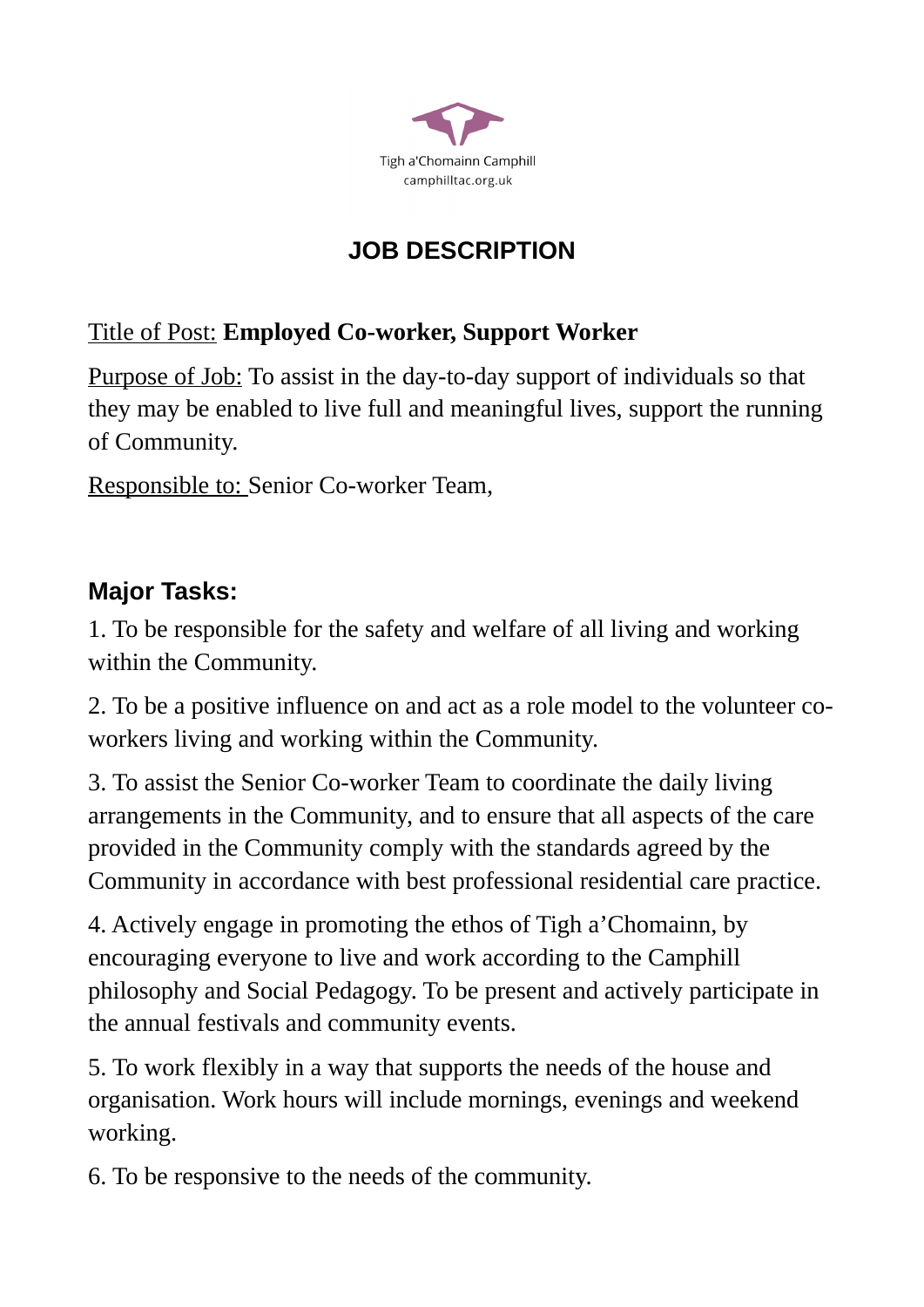

# **JOB DESCRIPTION**

### Title of Post: **Employed Co-worker, Support Worker**

Purpose of Job: To assist in the day-to-day support of individuals so that they may be enabled to live full and meaningful lives, support the running of Community.

Responsible to: Senior Co-worker Team,

## **Major Tasks:**

1. To be responsible for the safety and welfare of all living and working within the Community.

2. To be a positive influence on and act as a role model to the volunteer coworkers living and working within the Community.

3. To assist the Senior Co-worker Team to coordinate the daily living arrangements in the Community, and to ensure that all aspects of the care provided in the Community comply with the standards agreed by the Community in accordance with best professional residential care practice.

4. Actively engage in promoting the ethos of Tigh a'Chomainn, by encouraging everyone to live and work according to the Camphill philosophy and Social Pedagogy. To be present and actively participate in the annual festivals and community events.

5. To work flexibly in a way that supports the needs of the house and organisation. Work hours will include mornings, evenings and weekend working.

6. To be responsive to the needs of the community.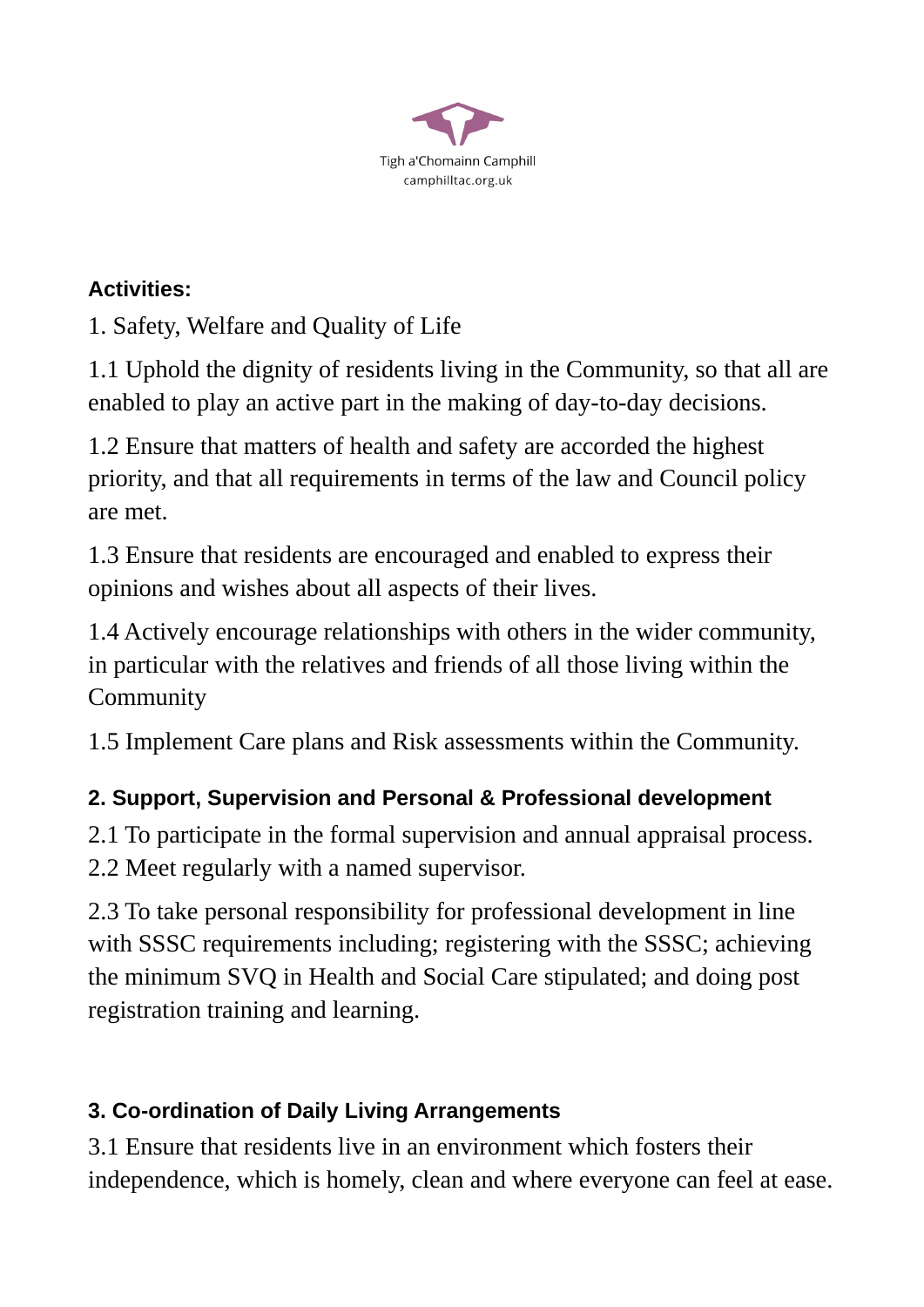

#### **Activities:**

1. Safety, Welfare and Quality of Life

1.1 Uphold the dignity of residents living in the Community, so that all are enabled to play an active part in the making of day-to-day decisions.

1.2 Ensure that matters of health and safety are accorded the highest priority, and that all requirements in terms of the law and Council policy are met.

1.3 Ensure that residents are encouraged and enabled to express their opinions and wishes about all aspects of their lives.

1.4 Actively encourage relationships with others in the wider community, in particular with the relatives and friends of all those living within the Community

1.5 Implement Care plans and Risk assessments within the Community.

### **2. Support, Supervision and Personal & Professional development**

2.1 To participate in the formal supervision and annual appraisal process. 2.2 Meet regularly with a named supervisor.

2.3 To take personal responsibility for professional development in line with SSSC requirements including; registering with the SSSC; achieving the minimum SVQ in Health and Social Care stipulated; and doing post registration training and learning.

### **3. Co-ordination of Daily Living Arrangements**

3.1 Ensure that residents live in an environment which fosters their independence, which is homely, clean and where everyone can feel at ease.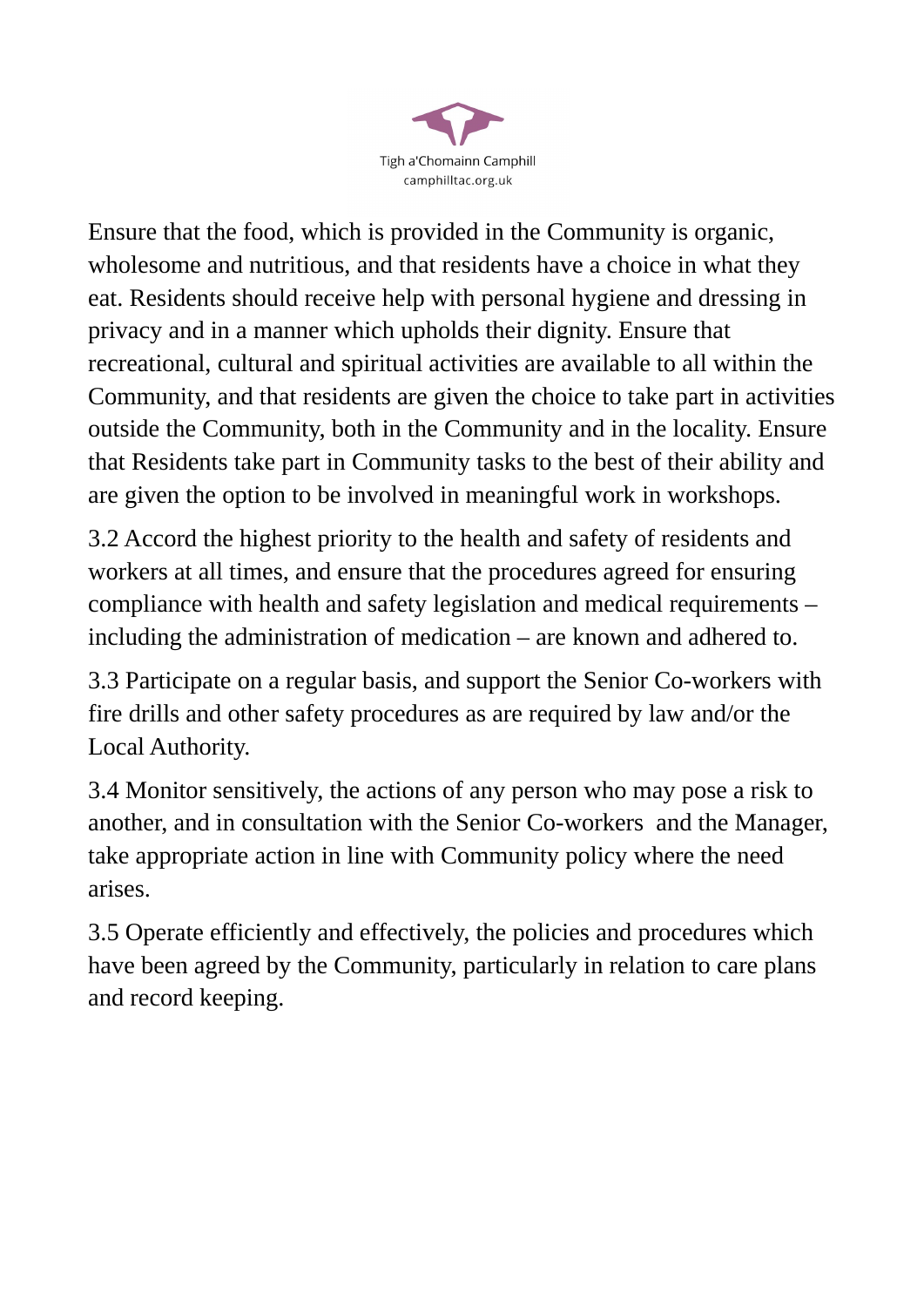

Ensure that the food, which is provided in the Community is organic, wholesome and nutritious, and that residents have a choice in what they eat. Residents should receive help with personal hygiene and dressing in privacy and in a manner which upholds their dignity. Ensure that recreational, cultural and spiritual activities are available to all within the Community, and that residents are given the choice to take part in activities outside the Community, both in the Community and in the locality. Ensure that Residents take part in Community tasks to the best of their ability and are given the option to be involved in meaningful work in workshops.

3.2 Accord the highest priority to the health and safety of residents and workers at all times, and ensure that the procedures agreed for ensuring compliance with health and safety legislation and medical requirements – including the administration of medication – are known and adhered to.

3.3 Participate on a regular basis, and support the Senior Co-workers with fire drills and other safety procedures as are required by law and/or the Local Authority.

3.4 Monitor sensitively, the actions of any person who may pose a risk to another, and in consultation with the Senior Co-workers and the Manager, take appropriate action in line with Community policy where the need arises.

3.5 Operate efficiently and effectively, the policies and procedures which have been agreed by the Community, particularly in relation to care plans and record keeping.